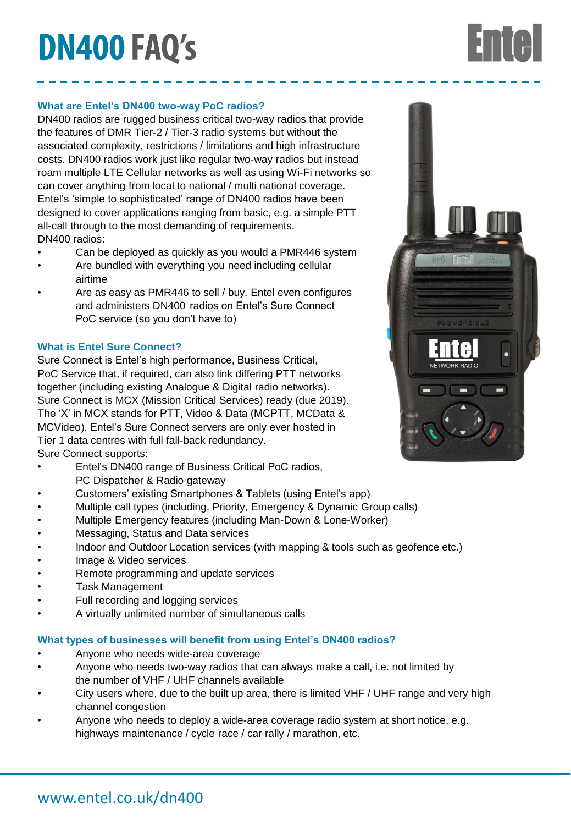# **DN400 FAQ's**

## **What are Entel's DN400 two-way PoC radios?**

DN400 radios are rugged business critical two-way radios that provide the features of DMR Tier-2 / Tier-3 radio systems but without the associated complexity, restrictions / limitations and high infrastructure costs. DN400 radios work just like regular two-way radios but instead roam multiple LTE Cellular networks as well as using Wi-Fi networks so can cover anything from local to national / multi national coverage. Entel's 'simple to sophisticated' range of DN400 radios have been designed to cover applications ranging from basic, e.g. a simple PTT all-call through to the most demanding of requirements. DN400 radios:

- Can be deployed as quickly as you would a PMR446 system
- Are bundled with everything you need including cellular airtime
- Are as easy as PMR446 to sell / buy. Entel even configures and administers DN400 radios on Entel's Sure Connect PoC service (so you don't have to)

# **What is Entel Sure Connect?**

Sure Connect is Entel's high performance, Business Critical, PoC Service that, if required, can also link differing PTT networks together (including existing Analogue & Digital radio networks). Sure Connect is MCX (Mission Critical Services) ready (due 2019). The 'X' in MCX stands for PTT, Video & Data (MCPTT, MCData & MCVideo). Entel's Sure Connect servers are only ever hosted in Tier 1 data centres with full fall-back redundancy. Sure Connect supports:

- Entel's DN400 range of Business Critical PoC radios, PC Dispatcher & Radio gateway
- Customers' existing Smartphones & Tablets (using Entel's app)
- Multiple call types (including, Priority, Emergency & Dynamic Group calls)
- Multiple Emergency features (including Man-Down & Lone-Worker)
- Messaging, Status and Data services
- Indoor and Outdoor Location services (with mapping & tools such as geofence etc.)
- Image & Video services
- Remote programming and update services
- Task Management
- Full recording and logging services
- A virtually unlimited number of simultaneous calls

#### **What types of businesses will benefit from using Entel's DN400 radios?**

- Anyone who needs wide-area coverage
- Anyone who needs two-way radios that can always make a call, i.e. not limited by the number of VHF / UHF channels available
- City users where, due to the built up area, there is limited VHF / UHF range and very high channel congestion
- Anyone who needs to deploy a wide-area coverage radio system at short notice, e.g. highways maintenance / cycle race / car rally / marathon, etc.



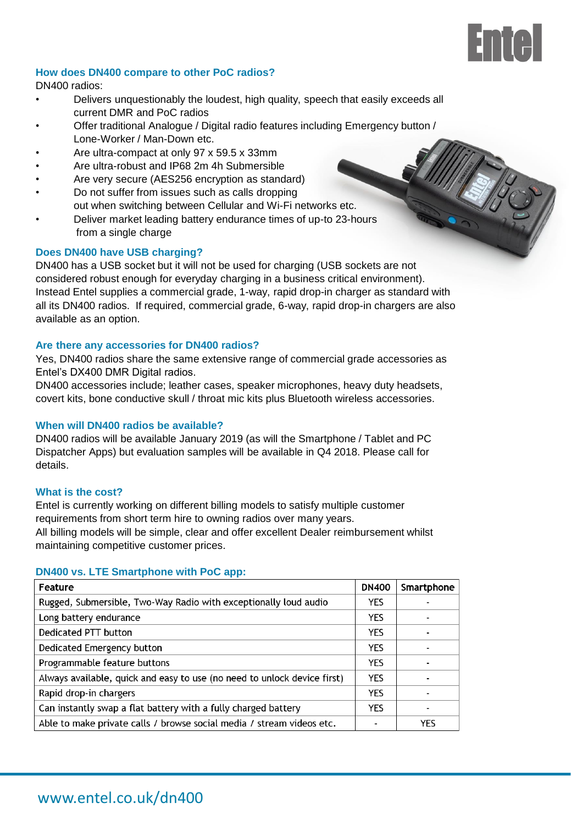# Fmal

#### **How does DN400 compare to other PoC radios?**

DN400 radios:

- Delivers unquestionably the loudest, high quality, speech that easily exceeds all current DMR and PoC radios
- Offer traditional Analogue / Digital radio features including Emergency button / Lone-Worker / Man-Down etc.
- Are ultra-compact at only 97 x 59.5 x 33mm
- Are ultra-robust and IP68 2m 4h Submersible
- Are very secure (AES256 encryption as standard)
- Do not suffer from issues such as calls dropping out when switching between Cellular and Wi-Fi networks etc.
- Deliver market leading battery endurance times of up-to 23-hours from a single charge

### **Does DN400 have USB charging?**

DN400 has a USB socket but it will not be used for charging (USB sockets are not considered robust enough for everyday charging in a business critical environment). Instead Entel supplies a commercial grade, 1-way, rapid drop-in charger as standard with all its DN400 radios. If required, commercial grade, 6-way, rapid drop-in chargers are also available as an option.

#### **Are there any accessories for DN400 radios?**

Yes, DN400 radios share the same extensive range of commercial grade accessories as Entel's DX400 DMR Digital radios.

DN400 accessories include; leather cases, speaker microphones, heavy duty headsets, covert kits, bone conductive skull / throat mic kits plus Bluetooth wireless accessories.

## **When will DN400 radios be available?**

DN400 radios will be available January 2019 (as will the Smartphone / Tablet and PC Dispatcher Apps) but evaluation samples will be available in Q4 2018. Please call for details.

#### **What is the cost?**

Entel is currently working on different billing models to satisfy multiple customer requirements from short term hire to owning radios over many years. All billing models will be simple, clear and offer excellent Dealer reimbursement whilst maintaining competitive customer prices.

#### **DN400 vs. LTE Smartphone with PoC app:**

| Feature                                                                  | <b>DN400</b> | Smartphone |
|--------------------------------------------------------------------------|--------------|------------|
| Rugged, Submersible, Two-Way Radio with exceptionally loud audio         | <b>YES</b>   |            |
| Long battery endurance                                                   | <b>YFS</b>   |            |
| Dedicated PTT button                                                     | <b>YES</b>   |            |
| Dedicated Emergency button                                               | <b>YES</b>   |            |
| Programmable feature buttons                                             | <b>YFS</b>   |            |
| Always available, quick and easy to use (no need to unlock device first) | <b>YES</b>   |            |
| Rapid drop-in chargers                                                   | <b>YES</b>   |            |
| Can instantly swap a flat battery with a fully charged battery           | <b>YFS</b>   |            |
| Able to make private calls / browse social media / stream videos etc.    |              | YES        |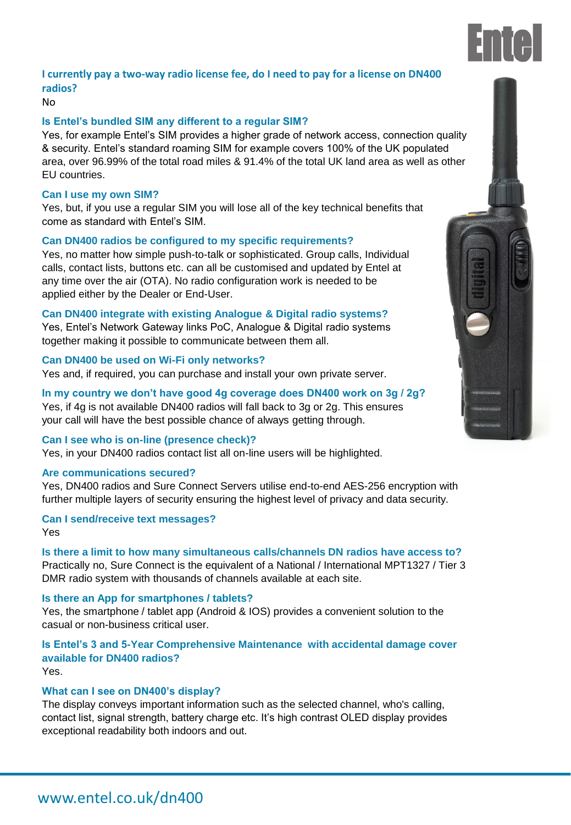

# **I currently pay a two-way radio license fee, do I need to pay for a license on DN400 radios?**

#### No

#### **Is Entel's bundled SIM any different to a regular SIM?**

Yes, for example Entel's SIM provides a higher grade of network access, connection quality & security. Entel's standard roaming SIM for example covers 100% of the UK populated area, over 96.99% of the total road miles & 91.4% of the total UK land area as well as other EU countries.

#### **Can I use my own SIM?**

Yes, but, if you use a regular SIM you will lose all of the key technical benefits that come as standard with Entel's SIM.

#### **Can DN400 radios be configured to my specific requirements?**

Yes, no matter how simple push-to-talk or sophisticated. Group calls, Individual calls, contact lists, buttons etc. can all be customised and updated by Entel at any time over the air (OTA). No radio configuration work is needed to be applied either by the Dealer or End-User.

#### **Can DN400 integrate with existing Analogue & Digital radio systems?**

Yes, Entel's Network Gateway links PoC, Analogue & Digital radio systems together making it possible to communicate between them all.

#### **Can DN400 be used on Wi-Fi only networks?**

Yes and, if required, you can purchase and install your own private server.

**In my country we don't have good 4g coverage does DN400 work on 3g / 2g?** Yes, if 4g is not available DN400 radios will fall back to 3g or 2g. This ensures your call will have the best possible chance of always getting through.

#### **Can I see who is on-line (presence check)?**

Yes, in your DN400 radios contact list all on-line users will be highlighted.

#### **Are communications secured?**

Yes, DN400 radios and Sure Connect Servers utilise end-to-end AES-256 encryption with further multiple layers of security ensuring the highest level of privacy and data security.

#### **Can I send/receive text messages?**

Yes

### **Is there a limit to how many simultaneous calls/channels DN radios have access to?** Practically no, Sure Connect is the equivalent of a National / International MPT1327 / Tier 3 DMR radio system with thousands of channels available at each site.

#### **Is there an App for smartphones / tablets?**

Yes, the smartphone / tablet app (Android & IOS) provides a convenient solution to the casual or non-business critical user.

# **Is Entel's 3 and 5-Year Comprehensive Maintenance with accidental damage cover available for DN400 radios?**

Yes.

#### **What can I see on DN400's display?**

The display conveys important information such as the selected channel, who's calling, contact list, signal strength, battery charge etc. It's high contrast OLED display provides exceptional readability both indoors and out.



# www.entel.co.uk/dn400